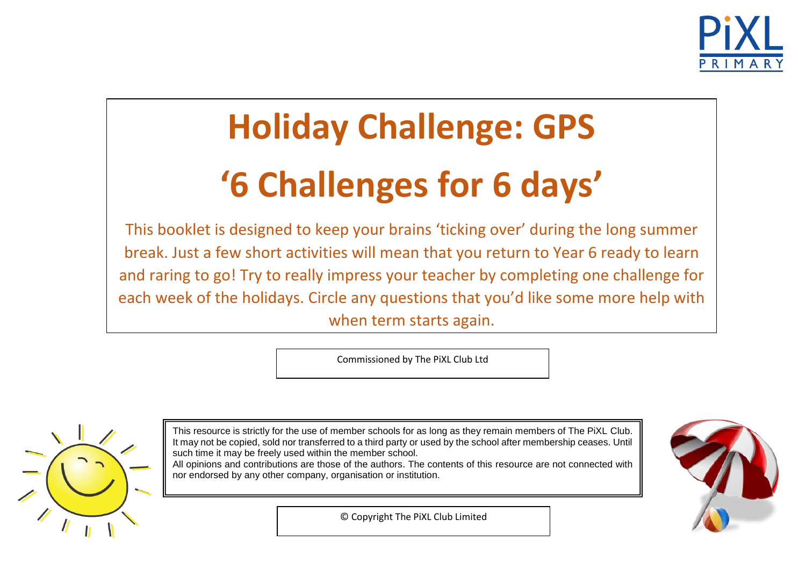

# **Holiday Challenge: GPS '6 Challenges for 6 days'**

This booklet is designed to keep your brains 'ticking over' during the long summer break. Just a few short activities will mean that you return to Year 6 ready to learn and raring to go! Try to really impress your teacher by completing one challenge for each week of the holidays. Circle any questions that you'd like some more help with when term starts again.

Commissioned by The PiXL Club Ltd



This resource is strictly for the use of member schools for as long as they remain members of The PiXL Club. It may not be copied, sold nor transferred to a third party or used by the school after membership ceases. Until such time it may be freely used within the member school. All opinions and contributions are those of the authors. The contents of this resource are not connected with nor endorsed by any other company, organisation or institution.



© Copyright The PiXL Club Limited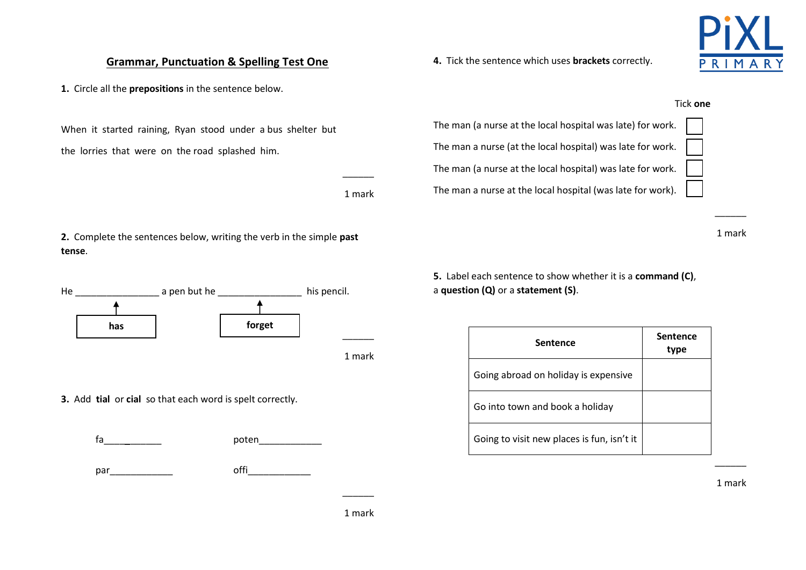### 1 mark

 $\overline{\phantom{a}}$ 

## When it started raining, Ryan stood under a bus shelter but

1 mark

 $\frac{1}{2}$  and  $\frac{1}{2}$ 

**2.** Complete the sentences below, writing the verb in the simple **past tense**.

**Grammar, Punctuation & Spelling Test One**

**1.** Circle all the **prepositions** in the sentence below.

the lorries that were on the road splashed him.



**3.** Add **tial** or **cial** so that each word is spelt correctly.

fa poten

par **particle** of the control of the control of the control of the control of the control of the control of the control of the control of the control of the control of the control of the control of the control of the contr

**4.** Tick the sentence which uses **brackets** correctly.

Tick **one**

The man (a nurse at the local hospital was late) for work. The man a nurse (at the local hospital) was late for work. The man (a nurse at the local hospital) was late for work.

The man a nurse at the local hospital (was late for work).



1 mark

\_\_\_\_\_\_

**5.** Label each sentence to show whether it is a **command (C)**, a **question (Q)** or a **statement (S)**.

| <b>Sentence</b>                            | <b>Sentence</b><br>type |
|--------------------------------------------|-------------------------|
| Going abroad on holiday is expensive       |                         |
| Go into town and book a holiday            |                         |
| Going to visit new places is fun, isn't it |                         |

1 mark

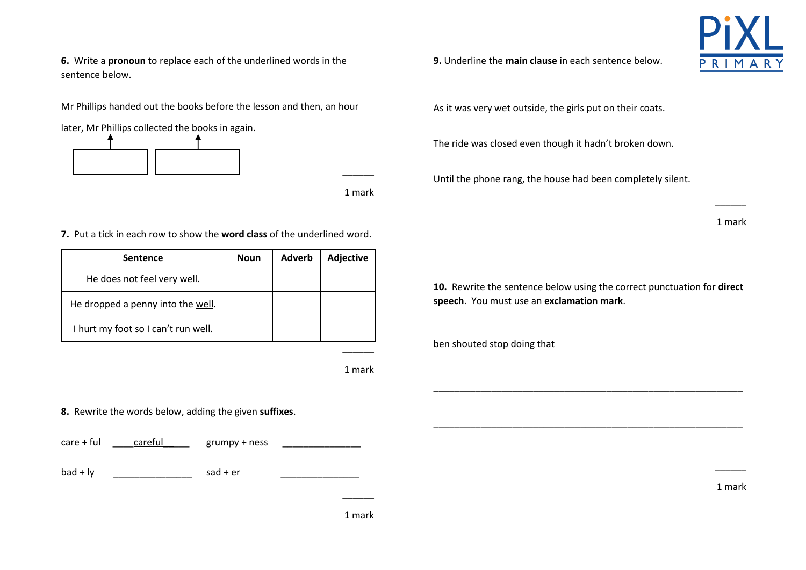**6.** Write a **pronoun** to replace each of the underlined words in the sentence below.

Mr Phillips handed out the books before the lesson and then, an hour

later, Mr Phillips collected the books in again.



1 mark

\_\_\_\_\_\_

**7.** Put a tick in each row to show the **word class** of the underlined word.

| <b>Sentence</b>                     | <b>Noun</b> | Adverb | <b>Adjective</b> |
|-------------------------------------|-------------|--------|------------------|
| He does not feel very well.         |             |        |                  |
| He dropped a penny into the well.   |             |        |                  |
| I hurt my foot so I can't run well. |             |        |                  |

1 mark

 $\overline{\phantom{a}}$ 

**8.** Rewrite the words below, adding the given **suffixes**.

care + ful  $\frac{\text{care full}}{\text{careful}}$  grumpy + ness

bad + ly \_\_\_\_\_\_\_\_\_\_\_\_\_\_\_ sad + er \_\_\_\_\_\_\_\_\_\_\_\_\_\_\_

**9.** Underline the **main clause** in each sentence below.

As it was very wet outside, the girls put on their coats.

The ride was closed even though it hadn't broken down.

Until the phone rang, the house had been completely silent.

1 mark

 $\overline{\phantom{a}}$ 

**10.** Rewrite the sentence below using the correct punctuation for **direct speech**. You must use an **exclamation mark**.

\_\_\_\_\_\_\_\_\_\_\_\_\_\_\_\_\_\_\_\_\_\_\_\_\_\_\_\_\_\_\_\_\_\_\_\_\_\_\_\_\_\_\_\_\_\_\_\_\_\_\_\_\_\_\_\_\_\_\_

\_\_\_\_\_\_\_\_\_\_\_\_\_\_\_\_\_\_\_\_\_\_\_\_\_\_\_\_\_\_\_\_\_\_\_\_\_\_\_\_\_\_\_\_\_\_\_\_\_\_\_\_\_\_\_\_\_\_\_

ben shouted stop doing that

1 mark

 $\overline{\phantom{a}}$ 

1 mark

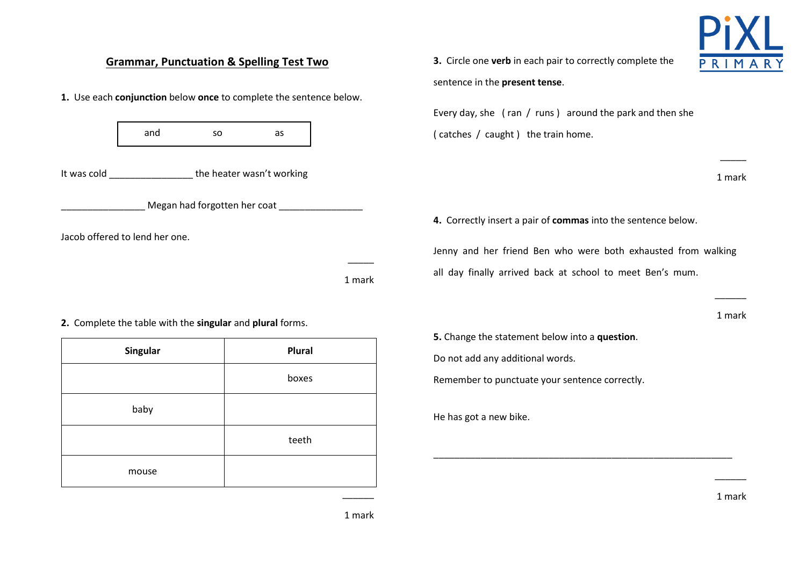#### **Grammar, Punctuation & Spelling Test Two** PRIMAR sentence in the **present tense**. **1.** Use each **conjunction** below **once** to complete the sentence below. Every day, she ( ran / runs ) around the park and then she and so as( catches / caught ) the train home. \_\_\_\_\_ It was cold \_\_\_\_\_\_\_\_\_\_\_\_\_\_\_\_ the heater wasn't working 1 mark **EXECT:** Megan had forgotten her coat **\_\_\_\_\_\_\_\_\_\_\_\_\_\_\_\_ 4.** Correctly insert a pair of **commas** into the sentence below. Jacob offered to lend her one. Jenny and her friend Ben who were both exhausted from walking \_\_\_\_\_ all day finally arrived back at school to meet Ben's mum. 1 mark  $\overline{\phantom{a}}$

**2.** Complete the table with the **singular** and **plural** forms.

| Singular | Plural |
|----------|--------|
|          | boxes  |
| baby     |        |
|          | teeth  |
| mouse    |        |

**3.** Circle one **verb** in each pair to correctly complete the

**5.** Change the statement below into a **question**.

Do not add any additional words.

Remember to punctuate your sentence correctly.

\_\_\_\_\_\_\_\_\_\_\_\_\_\_\_\_\_\_\_\_\_\_\_\_\_\_\_\_\_\_\_\_\_\_\_\_\_\_\_\_\_\_\_\_\_\_\_\_\_\_\_\_\_\_\_\_\_

He has got a new bike.

1 mark

 $\overline{\phantom{a}}$ 

1 mark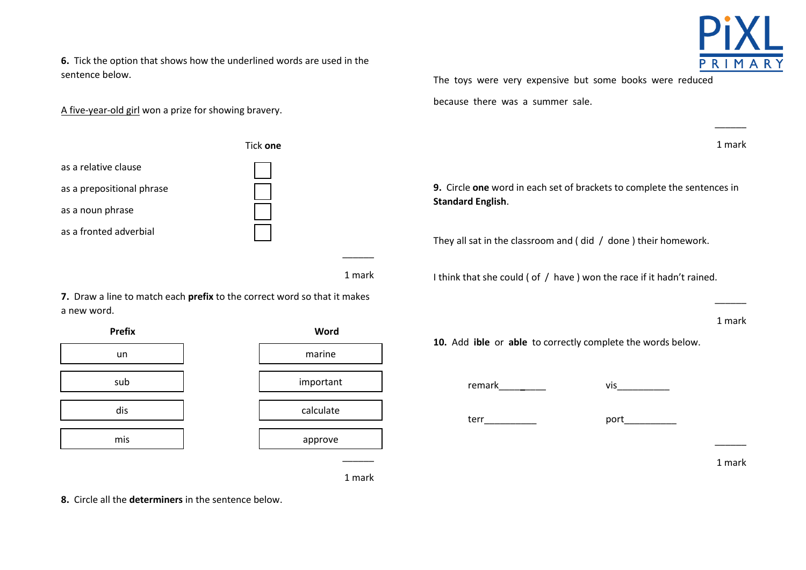**6.** Tick the option that shows how the underlined words are used in the sentence below.

A five-year-old girl won a prize for showing bravery.



**7.** Draw a line to match each **prefix** to the correct word so that it makes a new word.



1 mark

 $\overline{\phantom{a}}$ 

1 mark

**8.** Circle all the **determiners** in the sentence below.

The toys were very expensive but some books were reduced

because there was a summer sale.

1 mark

\_\_\_\_\_\_

**9.** Circle **one** word in each set of brackets to complete the sentences in **Standard English**.

They all sat in the classroom and ( did / done ) their homework.

I think that she could ( of / have ) won the race if it hadn't rained.

1 mark

 $\overline{\phantom{a}}$ 

1 mark

 $\overline{\phantom{a}}$ 

**10.** Add **ible** or **able** to correctly complete the words below.

remark vis terr port

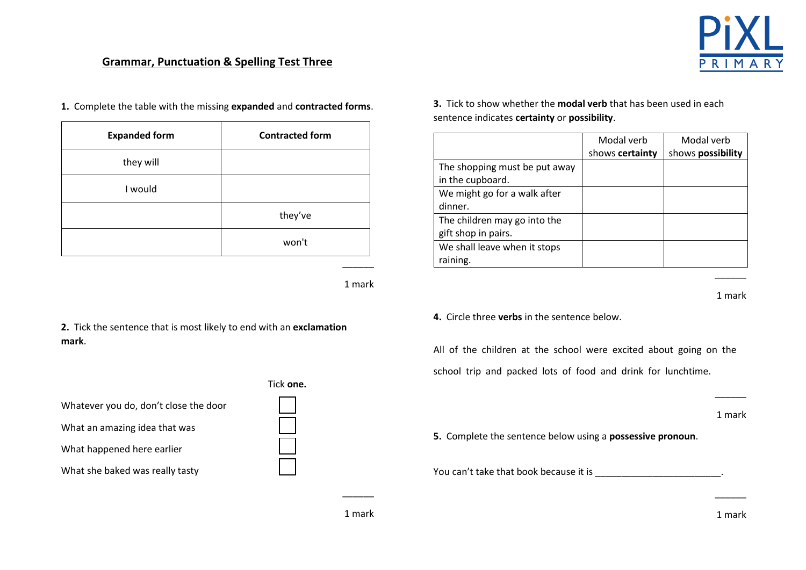

#### **Grammar, Punctuation & Spelling Test Three**

**1.** Complete the table with the missing **expanded** and **contracted forms**.

| <b>Expanded form</b> | <b>Contracted form</b> |  |
|----------------------|------------------------|--|
| they will            |                        |  |
| I would              |                        |  |
|                      | they've                |  |
|                      | won't                  |  |

1 mark

\_\_\_\_\_\_

**2.** Tick the sentence that is most likely to end with an **exclamation mark**.

|                                       | l ICI |
|---------------------------------------|-------|
| Whatever you do, don't close the door |       |
| What an amazing idea that was         |       |
| What happened here earlier            |       |
| What she baked was really tasty       |       |

Tick **one.**  $\Box$ 

**3.** Tick to show whether the **modal verb** that has been used in each sentence indicates **certainty** or **possibility**.

|                               | Modal verb      | Modal verb        |
|-------------------------------|-----------------|-------------------|
|                               | shows certainty | shows possibility |
| The shopping must be put away |                 |                   |
| in the cupboard.              |                 |                   |
| We might go for a walk after  |                 |                   |
| dinner.                       |                 |                   |
| The children may go into the  |                 |                   |
| gift shop in pairs.           |                 |                   |
| We shall leave when it stops  |                 |                   |
| raining.                      |                 |                   |

1 mark

 $\overline{\phantom{a}}$ 

#### **4.** Circle three **verbs** in the sentence below.

All of the children at the school were excited about going on the school trip and packed lots of food and drink for lunchtime.

1 mark

 $\overline{\phantom{a}}$ 

**5.** Complete the sentence below using a **possessive pronoun**.

You can't take that book because it is **with the set of the set of the set of the set of the set of the set of t** 

1 mark

 $\overline{\phantom{a}}$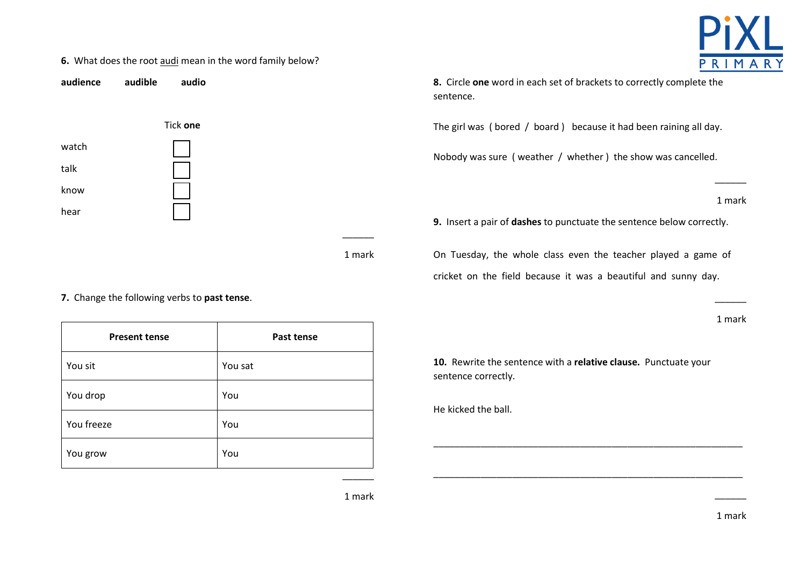#### **6.** What does the root audi mean in the word family below?





**8.** Circle **one** word in each set of brackets to correctly complete the sentence.

The girl was ( bored / board ) because it had been raining all day.

Nobody was sure ( weather / whether ) the show was cancelled.

1 mark

\_\_\_\_\_\_

**9.** Insert a pair of **dashes** to punctuate the sentence below correctly.

1 mark

**7.** Change the following verbs to **past tense**.

**Present tense Past tense** You sit You sat You drop You You freeze You Review New You You grow Tours and You

On Tuesday, the whole class even the teacher played a game of cricket on the field because it was a beautiful and sunny day.

1 mark

\_\_\_\_\_\_

**10.** Rewrite the sentence with a **relative clause.** Punctuate your sentence correctly.

\_\_\_\_\_\_\_\_\_\_\_\_\_\_\_\_\_\_\_\_\_\_\_\_\_\_\_\_\_\_\_\_\_\_\_\_\_\_\_\_\_\_\_\_\_\_\_\_\_\_\_\_\_\_\_\_\_\_\_

\_\_\_\_\_\_\_\_\_\_\_\_\_\_\_\_\_\_\_\_\_\_\_\_\_\_\_\_\_\_\_\_\_\_\_\_\_\_\_\_\_\_\_\_\_\_\_\_\_\_\_\_\_\_\_\_\_\_\_

He kicked the ball.

1 mark

\_\_\_\_\_\_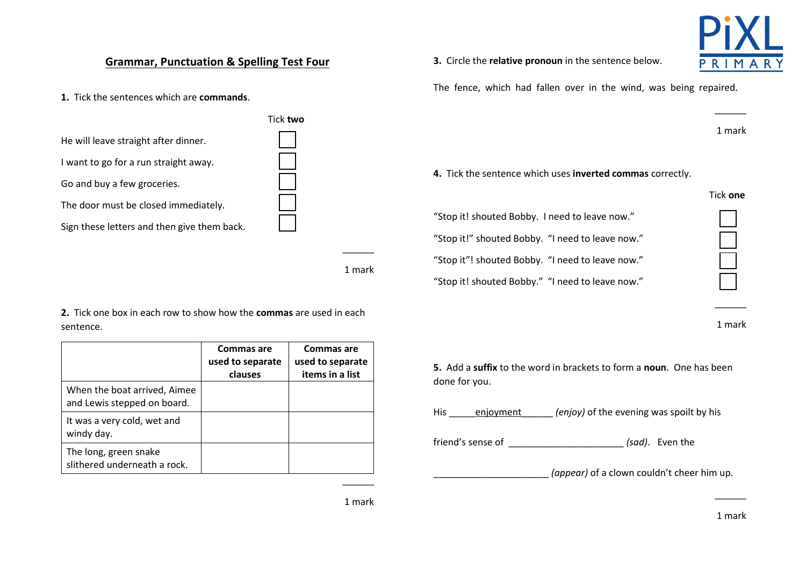#### **Grammar, Punctuation & Spelling Test Four**

**1.** Tick the sentences which are **commands**.



1 mark

**2.** Tick one box in each row to show how the **commas** are used in each sentence.

|                                                             | Commas are<br>used to separate<br>clauses | Commas are<br>used to separate<br>items in a list |
|-------------------------------------------------------------|-------------------------------------------|---------------------------------------------------|
| When the boat arrived, Aimee<br>and Lewis stepped on board. |                                           |                                                   |
| It was a very cold, wet and<br>windy day.                   |                                           |                                                   |
| The long, green snake<br>slithered underneath a rock.       |                                           |                                                   |

**3.** Circle the **relative pronoun** in the sentence below.



The fence, which had fallen over in the wind, was being repaired.

1 mark

\_\_\_\_\_\_

**4.** Tick the sentence which uses **inverted commas** correctly.

|                                                  | Tick one |
|--------------------------------------------------|----------|
| "Stop it! shouted Bobby. I need to leave now."   |          |
| "Stop it!" shouted Bobby. "I need to leave now." |          |
| "Stop it"! shouted Bobby. "I need to leave now." |          |
| "Stop it! shouted Bobby." "I need to leave now." |          |

1 mark

 $\overline{\phantom{a}}$ 

**5.** Add a **suffix** to the word in brackets to form a **noun**. One has been done for you.

His <u>enjoyment</u> *(enjoy)* of the evening was spoilt by his

friend's sense of \_\_\_\_\_\_\_\_\_\_\_\_\_\_\_\_\_\_\_\_\_\_ *(sad)*. Even the

\_\_\_\_\_\_\_\_\_\_\_\_\_\_\_\_\_\_\_\_\_\_ *(appear)* of a clown couldn't cheer him up.

 $\overline{\phantom{a}}$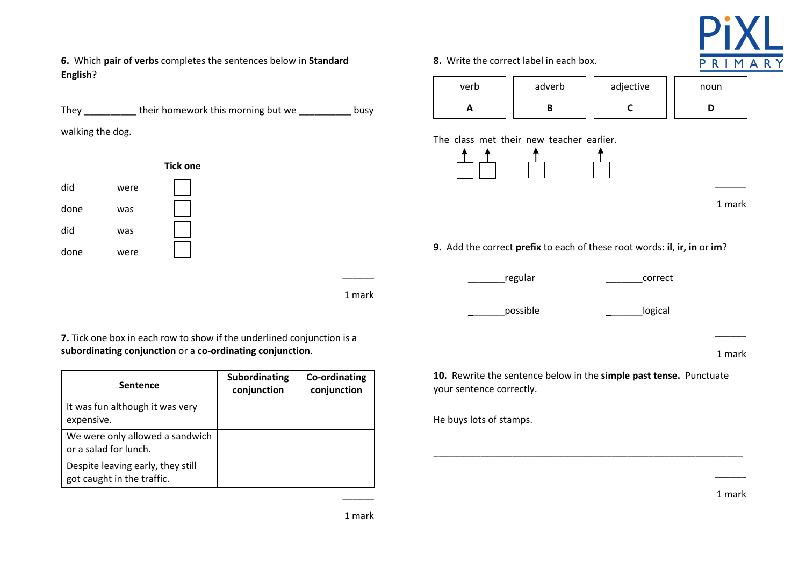

**6.** Which **pair of verbs** completes the sentences below in **Standard English**?

They their homework this morning but we busy

walking the dog.



1 mark

\_\_\_\_\_\_

**7.** Tick one box in each row to show if the underlined conjunction is a **subordinating conjunction** or a **co-ordinating conjunction**.

| <b>Sentence</b>                                                 | Subordinating<br>conjunction | Co-ordinating<br>conjunction |
|-----------------------------------------------------------------|------------------------------|------------------------------|
| It was fun although it was very<br>expensive.                   |                              |                              |
| We were only allowed a sandwich<br>or a salad for lunch.        |                              |                              |
| Despite leaving early, they still<br>got caught in the traffic. |                              |                              |

**8.** Write the correct label in each box.



The class met their new teacher earlier.



1 mark

 $\overline{\phantom{a}}$ 

**9.** Add the correct **prefix** to each of these root words: **il**, **ir, in** or **im**?

regular extended to the correct

possible **business** logical

| ĸ<br>ma<br>r |
|--------------|

**10.** Rewrite the sentence below in the **simple past tense.** Punctuate your sentence correctly.

\_\_\_\_\_\_\_\_\_\_\_\_\_\_\_\_\_\_\_\_\_\_\_\_\_\_\_\_\_\_\_\_\_\_\_\_\_\_\_\_\_\_\_\_\_\_\_\_\_\_\_\_\_\_\_\_\_\_\_

He buys lots of stamps.

1 mark

 $\overline{\phantom{a}}$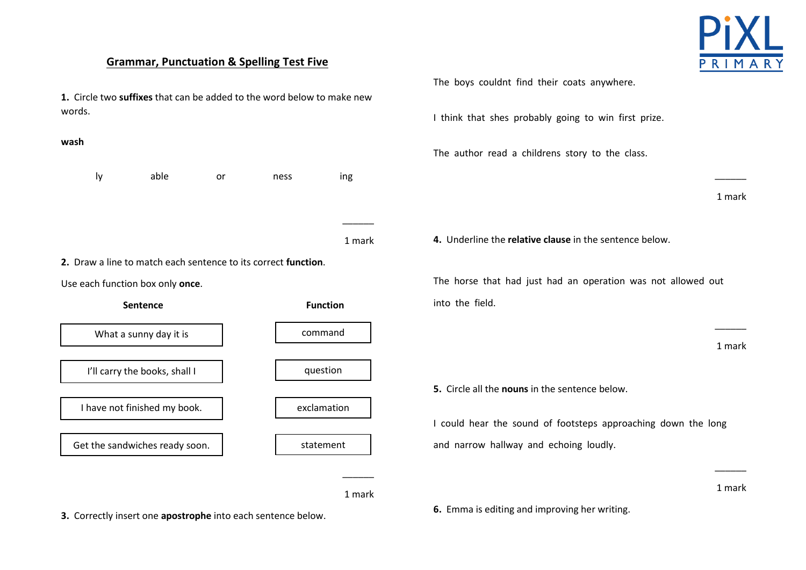#### **Grammar, Punctuation & Spelling Test Five**





**3.** Correctly insert one **apostrophe** into each sentence below.

The boys couldnt find their coats anywhere.

I think that shes probably going to win first prize.

The author read a childrens story to the class.

1 mark

\_\_\_\_\_\_

**4.** Underline the **relative clause** in the sentence below.

The horse that had just had an operation was not allowed out into the field.

1 mark

\_\_\_\_\_\_

**5.** Circle all the **nouns** in the sentence below.

I could hear the sound of footsteps approaching down the long and narrow hallway and echoing loudly.

1 mark

 $\overline{\phantom{a}}$ 

**6.** Emma is editing and improving her writing.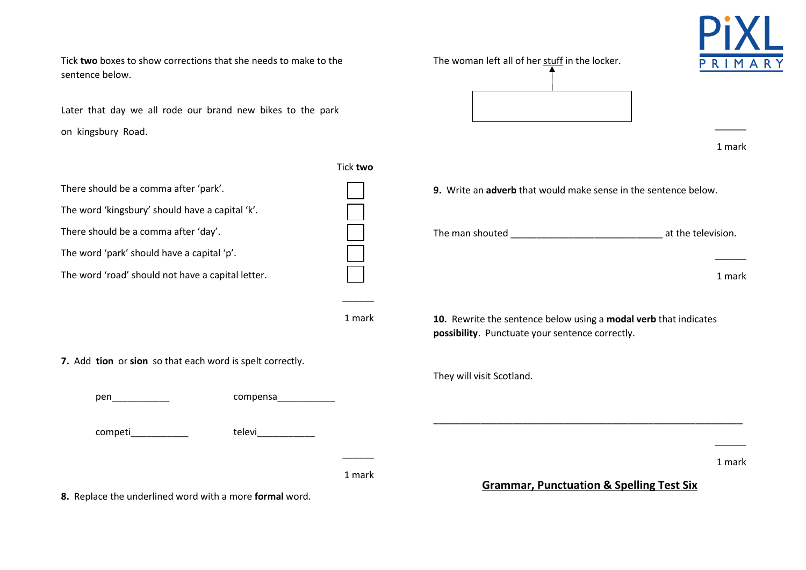Later that day we all rode our brand new bikes to the park on kingsbury Road.

|                                                                                                                                                                                                                                                  |          | 1 mark                                                                                                              |
|--------------------------------------------------------------------------------------------------------------------------------------------------------------------------------------------------------------------------------------------------|----------|---------------------------------------------------------------------------------------------------------------------|
|                                                                                                                                                                                                                                                  | Tick two |                                                                                                                     |
| There should be a comma after 'park'.                                                                                                                                                                                                            |          | 9. Write an adverb that would make sense in the sentence below.                                                     |
| The word 'kingsbury' should have a capital 'k'.                                                                                                                                                                                                  |          |                                                                                                                     |
| There should be a comma after 'day'.                                                                                                                                                                                                             |          | at the television.                                                                                                  |
| The word 'park' should have a capital 'p'.                                                                                                                                                                                                       |          |                                                                                                                     |
| The word 'road' should not have a capital letter.                                                                                                                                                                                                |          | 1 mark                                                                                                              |
|                                                                                                                                                                                                                                                  |          |                                                                                                                     |
|                                                                                                                                                                                                                                                  | 1 mark   | 10. Rewrite the sentence below using a modal verb that indicates<br>possibility. Punctuate your sentence correctly. |
| 7. Add tion or sion so that each word is spelt correctly.                                                                                                                                                                                        |          |                                                                                                                     |
|                                                                                                                                                                                                                                                  |          | They will visit Scotland.                                                                                           |
| pen terminensiert van die koning van die koning van die koning van die koning van die koning van die koning va<br>Die verwys van die koning van die koning van die koning van die koning van die koning van die koning van die k<br><br>compensa |          |                                                                                                                     |
| competi____________<br>televi <b>televi</b>                                                                                                                                                                                                      |          |                                                                                                                     |
|                                                                                                                                                                                                                                                  |          | 1 mark                                                                                                              |
| 8. Replace the underlined word with a more formal word.                                                                                                                                                                                          | 1 mark   | <b>Grammar, Punctuation &amp; Spelling Test Six</b>                                                                 |

The woman left all of her stuff in the locker.

Tick **two** boxes to show corrections that she needs to make to the sentence below.



\_\_\_\_\_\_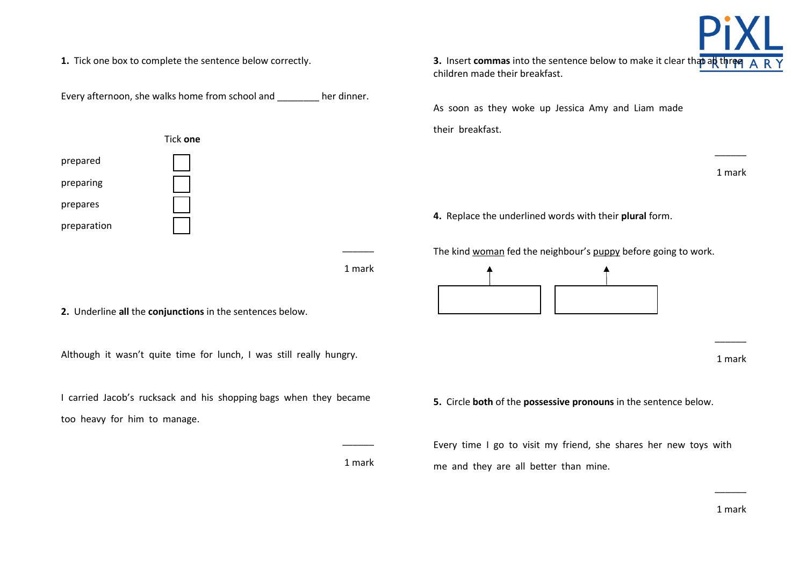